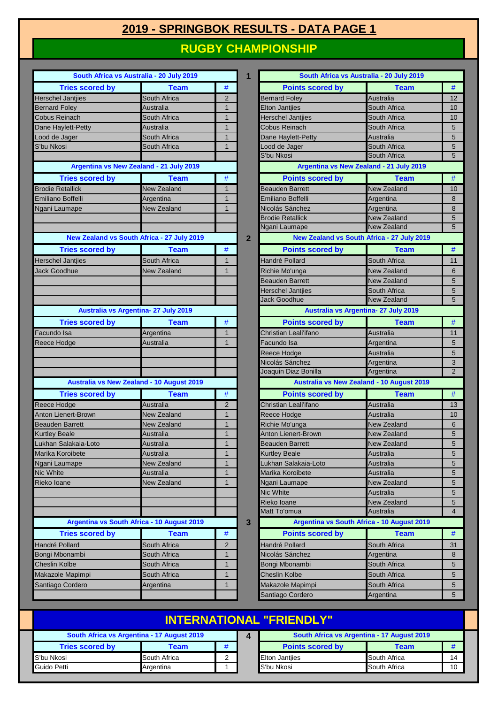## **2019 - SPRINGBOK RESULTS - DATA PAGE 1**

## **RUGBY CHAMPIONSHIP**

| South Africa vs Australia - 20 July 2019         |                                            |                | 1              |                          | South Africa vs Australia - 20 July 2019   |                  |
|--------------------------------------------------|--------------------------------------------|----------------|----------------|--------------------------|--------------------------------------------|------------------|
| <b>Tries scored by</b>                           | <b>Team</b>                                | #              |                | <b>Points scored by</b>  | <b>Team</b>                                | #                |
| <b>Herschel Jantjies</b>                         | South Africa                               | 2              |                | <b>Bernard Foley</b>     | <b>Australia</b>                           | 12               |
| <b>Bernard Foley</b>                             | Australia                                  | $\mathbf{1}$   |                | <b>Elton Jantjies</b>    | South Africa                               | 1 <sub>C</sub>   |
| Cobus Reinach                                    | South Africa                               | $\mathbf{1}$   |                | <b>Herschel Jantjies</b> | South Africa                               | 1 <sup>C</sup>   |
| Dane Haylett-Petty                               | Australia                                  | $\mathbf{1}$   |                | Cobus Reinach            | South Africa                               | 5                |
| Lood de Jager                                    | South Africa                               | $\mathbf{1}$   |                | Dane Haylett-Petty       | Australia                                  | $\overline{5}$   |
| S'bu Nkosi                                       | South Africa                               | $\mathbf{1}$   |                | Lood de Jager            | South Africa                               | $5\phantom{.0}$  |
|                                                  |                                            |                |                | S'bu Nkosi               | South Africa                               | $\overline{5}$   |
| Argentina vs New Zealand - 21 July 2019          |                                            |                |                |                          | Argentina vs New Zealand - 21 July 2019    |                  |
| <b>Tries scored by</b>                           | <b>Team</b>                                | $\#$           |                | <b>Points scored by</b>  | <b>Team</b>                                | $\#$             |
| <b>Brodie Retallick</b>                          | <b>New Zealand</b>                         | $\mathbf{1}$   |                | <b>Beauden Barrett</b>   | New Zealand                                | 1 <sup>C</sup>   |
| Emiliano Boffelli                                | Argentina                                  | $\mathbf{1}$   |                | Emiliano Boffelli        | Argentina                                  | 8                |
| Ngani Laumape                                    | <b>New Zealand</b>                         | $\mathbf{1}$   |                | Nicolás Sánchez          | Argentina                                  | $\boldsymbol{8}$ |
|                                                  |                                            |                |                | <b>Brodie Retallick</b>  | <b>New Zealand</b>                         | $\overline{5}$   |
|                                                  |                                            |                |                | Ngani Laumape            | New Zealand                                | 5                |
| New Zealand vs South Africa - 27 July 2019       |                                            |                | $\overline{2}$ |                          | New Zealand vs South Africa - 27 July 2019 |                  |
| <b>Tries scored by</b>                           | <b>Team</b>                                | $\#$           |                | <b>Points scored by</b>  | <b>Team</b>                                | #                |
| <b>Herschel Jantjies</b>                         | South Africa                               | $\mathbf{1}$   |                | Handré Pollard           | South Africa                               | 11               |
| Jack Goodhue                                     | New Zealand                                | $\mathbf{1}$   |                | Richie Mo'unga           | New Zealand                                | $6\phantom{1}6$  |
|                                                  |                                            |                |                | <b>Beauden Barrett</b>   | New Zealand                                | 5                |
|                                                  |                                            |                |                | <b>Herschel Jantjies</b> | South Africa                               | $5\phantom{.0}$  |
|                                                  |                                            |                |                | Jack Goodhue             | <b>New Zealand</b>                         | $5\overline{5}$  |
| Australia vs Argentina- 27 July 2019             |                                            |                |                |                          | Australia vs Argentina- 27 July 2019       |                  |
| <b>Tries scored by</b>                           | <b>Team</b>                                | $\#$           |                | <b>Points scored by</b>  | <b>Team</b>                                | $\#$             |
| Facundo Isa                                      | Argentina                                  | $\mathbf{1}$   |                | Christian Leali'ifano    | Australia                                  | 11               |
| Reece Hodge                                      | Australia                                  | $\mathbf{1}$   |                | Facundo Isa              | Argentina                                  | 5                |
|                                                  |                                            |                |                | Reece Hodge              | <b>Australia</b>                           | 5                |
|                                                  |                                            |                |                | Nicolás Sánchez          | Argentina                                  | $\mathbf{3}$     |
|                                                  |                                            |                |                | Joaquin Diaz Bonilla     | Argentina                                  | $\overline{2}$   |
| <b>Australia vs New Zealand - 10 August 2019</b> |                                            |                |                |                          | Australia vs New Zealand - 10 August 2019  |                  |
| <b>Tries scored by</b>                           | <b>Team</b>                                | #              |                | <b>Points scored by</b>  | <b>Team</b>                                | $\#$             |
| Reece Hodge                                      | Australia                                  | 2              |                | Christian Leali'ifano    | <b>Australia</b>                           | 13               |
| Anton Lienert-Brown                              | <b>New Zealand</b>                         | $\mathbf{1}$   |                | Reece Hodge              | <b>Australia</b>                           | 1 <sup>C</sup>   |
| <b>Beauden Barrett</b>                           | <b>New Zealand</b>                         | $\mathbf{1}$   |                | Richie Mo'unga           | <b>New Zealand</b>                         | $6\phantom{1}6$  |
| <b>Kurtley Beale</b>                             | Australia                                  | $\mathbf{1}$   |                | Anton Lienert-Brown      | <b>New Zealand</b>                         | 5                |
| Lukhan Salakaia-Loto                             | Australia                                  | $\mathbf{1}$   |                | <b>Beauden Barrett</b>   | <b>New Zealand</b>                         | $\overline{5}$   |
| Marika Koroibete                                 | Australia                                  | $\mathbf{1}$   |                | <b>Kurtley Beale</b>     | Australia                                  | 5                |
| Ngani Laumape                                    | <b>New Zealand</b>                         | $\mathbf{1}$   |                | Lukhan Salakaia-Loto     | Australia                                  | $5\phantom{1}$   |
| Nic White                                        | Australia                                  | $\mathbf{1}$   |                | Marika Koroibete         | Australia                                  | 5                |
| Rieko Ioane                                      | <b>New Zealand</b>                         | $\mathbf{1}$   |                | Ngani Laumape            | <b>New Zealand</b>                         | 5                |
|                                                  |                                            |                |                | Nic White                | Australia                                  | 5                |
|                                                  |                                            |                |                | Rieko Ioane              | <b>New Zealand</b>                         | 5                |
|                                                  |                                            |                |                | Matt To'omua             | Australia                                  | $\overline{4}$   |
|                                                  | Argentina vs South Africa - 10 August 2019 |                | 3              |                          | Argentina vs South Africa - 10 August 2019 |                  |
| <b>Tries scored by</b>                           | <b>Team</b>                                | #              |                | <b>Points scored by</b>  | <b>Team</b>                                | #                |
| Handré Pollard                                   | South Africa                               | $\overline{2}$ |                | Handré Pollard           | South Africa                               | 31               |
| Bongi Mbonambi                                   | South Africa                               | $\mathbf{1}$   |                | Nicolás Sánchez          | Argentina                                  | 8                |
| <b>Cheslin Kolbe</b>                             | South Africa                               | $\mathbf{1}$   |                | Bongi Mbonambi           | South Africa                               | $\overline{5}$   |
| Makazole Mapimpi                                 | South Africa                               | $\mathbf{1}$   |                | <b>Cheslin Kolbe</b>     | South Africa                               | $5\phantom{1}$   |
| Santiago Cordero                                 | Argentina                                  | $\mathbf{1}$   |                | Makazole Mapimpi         | South Africa                               | 5                |
|                                                  |                                            |                |                | Santiago Cordero         | Argentina                                  | $5\phantom{.0}$  |

| South Africa vs Australia - 20 July 2019   |                    |                | 1              | South Africa vs Australia - 20 July 2019         |                          |        |  |
|--------------------------------------------|--------------------|----------------|----------------|--------------------------------------------------|--------------------------|--------|--|
| <b>Tries scored by</b>                     | <b>Team</b>        | #              |                | <b>Points scored by</b>                          | <b>Team</b>              | #      |  |
| I Jantjies                                 | South Africa       | $\overline{2}$ |                | <b>Bernard Foley</b>                             | Australia                | 12     |  |
| Foley                                      | Australia          | $\overline{1}$ |                | <b>Elton Jantiies</b>                            | South Africa             | 10     |  |
| einach                                     | South Africa       | $\overline{1}$ |                | <b>Herschel Jantjies</b>                         | South Africa             | 10     |  |
| aylett-Petty                               | Australia          | $\overline{1}$ |                | Cobus Reinach                                    | South Africa             | 5      |  |
| Jager                                      | South Africa       | $\mathbf 1$    |                | Dane Haylett-Petty                               | Australia                | 5      |  |
| osi                                        | South Africa       | $\mathbf 1$    |                | ood de Jager                                     | South Africa             | 5      |  |
|                                            |                    |                |                | S'bu Nkosi                                       | South Africa             | 5      |  |
| Argentina vs New Zealand - 21 July 2019    |                    |                |                | Argentina vs New Zealand - 21 July 2019          |                          |        |  |
| <b>Tries scored by</b>                     | <b>Team</b>        | $\#$           |                | <b>Points scored by</b>                          | <b>Team</b>              | #      |  |
| etallick                                   | <b>New Zealand</b> | $\mathbf 1$    |                | <b>Beauden Barrett</b>                           | New Zealand              | 10     |  |
| <b>Boffelli</b>                            | Argentina          | $\overline{1}$ |                | Emiliano Boffelli                                | Argentina                | 8      |  |
| aumape                                     | <b>New Zealand</b> | $\mathbf{1}$   |                | Nicolás Sánchez                                  | Argentina                | 8      |  |
|                                            |                    |                |                | <b>Brodie Retallick</b>                          | <b>New Zealand</b>       | 5      |  |
|                                            |                    |                |                | Ngani Laumape                                    | <b>New Zealand</b>       | 5      |  |
| New Zealand vs South Africa - 27 July 2019 |                    |                | $\overline{2}$ | New Zealand vs South Africa - 27 July 2019       |                          |        |  |
| <b>Tries scored by</b>                     | <b>Team</b>        | $\#$           |                | <b>Points scored by</b>                          | <b>Team</b>              | #      |  |
| I Jantjies                                 | South Africa       | $\mathbf 1$    |                | Handré Pollard                                   | South Africa             | 11     |  |
| odhue                                      | New Zealand        | $\mathbf{1}$   |                | Richie Mo'unga                                   | <b>New Zealand</b>       | 6      |  |
|                                            |                    |                |                | <b>Beauden Barrett</b>                           | <b>New Zealand</b>       | 5      |  |
|                                            |                    |                |                | <b>Herschel Jantjies</b>                         | South Africa             | 5      |  |
|                                            |                    |                |                | Jack Goodhue                                     | New Zealand              | 5      |  |
| Australia vs Argentina- 27 July 2019       |                    |                |                | Australia vs Argentina- 27 July 2019             |                          |        |  |
| <b>Tries scored by</b>                     | <b>Team</b>        | $\#$           |                | <b>Points scored by</b>                          | <b>Team</b>              | $\#$   |  |
| ) Isa                                      | Argentina          | $\mathbf 1$    |                | Christian Leali'ifano                            | Australia                | 11     |  |
| lodge                                      | Australia          | $\mathbf 1$    |                | Facundo Isa                                      | Argentina                | 5      |  |
|                                            |                    |                |                | Reece Hodge                                      | Australia                | 5      |  |
|                                            |                    |                |                | Nicolás Sánchez                                  | Argentina                | 3      |  |
|                                            |                    |                |                | Joaquin Diaz Bonilla                             | Argentina                | 2      |  |
| Australia vs New Zealand - 10 August 2019  |                    |                |                | <b>Australia vs New Zealand - 10 August 2019</b> |                          |        |  |
| <b>Tries scored by</b>                     | <b>Team</b>        | $\#$           |                | <b>Points scored by</b>                          | <b>Team</b>              | $\#$   |  |
| lodge                                      | Australia          | $\overline{2}$ |                | Christian Leali'ifano                            | <b>Australia</b>         | 13     |  |
| enert-Brown                                | <b>New Zealand</b> | $\overline{1}$ |                | Reece Hodge                                      | Australia                | 10     |  |
| Barrett                                    | <b>New Zealand</b> | 1              |                | Richie Mo'unga                                   | <b>New Zealand</b>       | 6      |  |
| Beale                                      | Australia          | $\mathbf{1}$   |                | Anton Lienert-Brown                              | <b>New Zealand</b>       | 5      |  |
| Salakaia-Loto                              | Australia          | $\overline{1}$ |                | <b>Beauden Barrett</b>                           | <b>New Zealand</b>       | 5      |  |
| <b>Coroibete</b>                           | Australia          | 1              |                | <b>Kurtley Beale</b>                             | Australia                | 5      |  |
| aumape                                     | New Zealand        | $\mathbf 1$    |                | ukhan Salakaia-Loto                              | Australia                | 5      |  |
| e                                          | Australia          | $\mathbf 1$    |                | Marika Koroibete                                 | Australia                | 5      |  |
| ane                                        | New Zealand        | $\mathbf{1}$   |                | Ngani Laumape                                    | <b>New Zealand</b>       | 5      |  |
|                                            |                    |                |                | Nic White                                        | Australia                | 5      |  |
|                                            |                    |                |                | Rieko Ioane<br>Matt To'omua                      | New Zealand<br>Australia | 5<br>4 |  |
|                                            |                    |                |                | Argentina vs South Africa - 10 August 2019       |                          |        |  |
| Argentina vs South Africa - 10 August 2019 |                    | 3              |                |                                                  |                          |        |  |
| <b>Tries scored by</b>                     | <b>Team</b>        | #              |                | <b>Points scored by</b>                          | Team                     | #      |  |
| Pollard                                    | South Africa       | $\overline{2}$ |                | Handré Pollard                                   | South Africa             | 31     |  |
| bonambi                                    | South Africa       | 1              |                | Nicolás Sánchez                                  | Argentina                | 8      |  |
| Kolbe                                      | South Africa       | 1              |                | Bongi Mbonambi                                   | South Africa             | 5      |  |
| e Mapimpi                                  | South Africa       | $\mathbf 1$    |                | <b>Cheslin Kolbe</b>                             | South Africa             | 5      |  |
| Cordero                                    | Argentina          | $\mathbf{1}$   |                | Makazole Mapimpi                                 | South Africa             | 5      |  |
|                                            |                    |                |                | Santiago Cordero                                 | Argentina                | 5      |  |

## **4 INTERNATIONAL "FRIENDLY"**

| South Africa vs Argentina - 17 August 2019 |              |   | South Africa vs Argentina - 17 August 2019 |              |    |
|--------------------------------------------|--------------|---|--------------------------------------------|--------------|----|
| <b>Tries scored by</b>                     | Геаm         | # | <b>Points scored by</b>                    | Team         |    |
| <b>IS</b> 'bu Nkosi                        | South Africa |   | <b>Elton Jantijes</b>                      | South Africa | 14 |
| <b>Cuido Petti</b>                         | Argentina    |   | S'bu Nkosi                                 | South Africa | 10 |

| South Africa vs Argentina - 17 August 2019 |              |  | South Africa vs Argentina - 17 August 2019 |              |    |
|--------------------------------------------|--------------|--|--------------------------------------------|--------------|----|
| <b>Tries scored by</b>                     | Team         |  | <b>Points scored by</b>                    | Team         |    |
| วรเ                                        | South Africa |  | <b>Elton Jantijes</b>                      | South Africa | 14 |
| etti                                       | Argentina    |  | S'bu Nkosi                                 | South Africa | 10 |